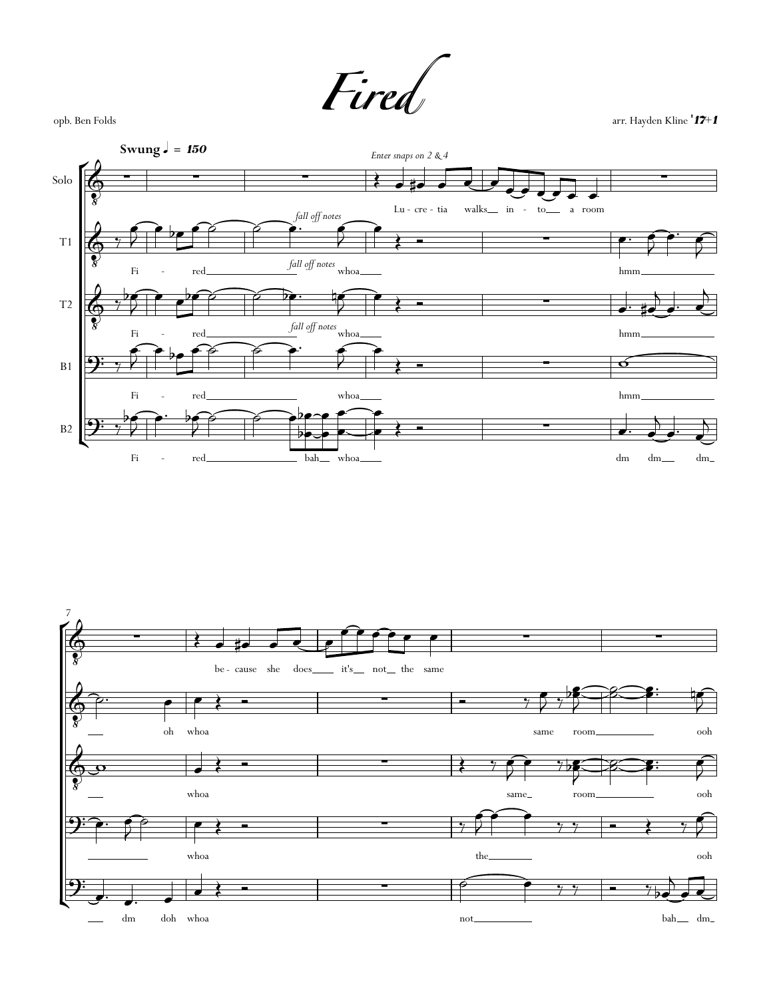



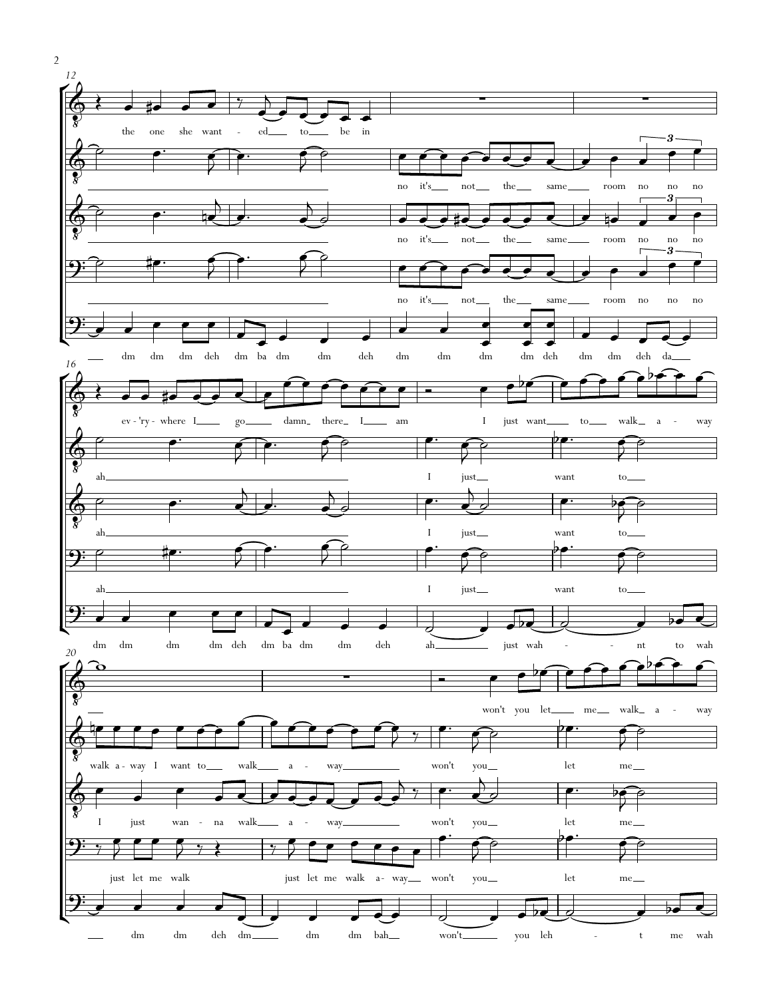![](_page_1_Figure_0.jpeg)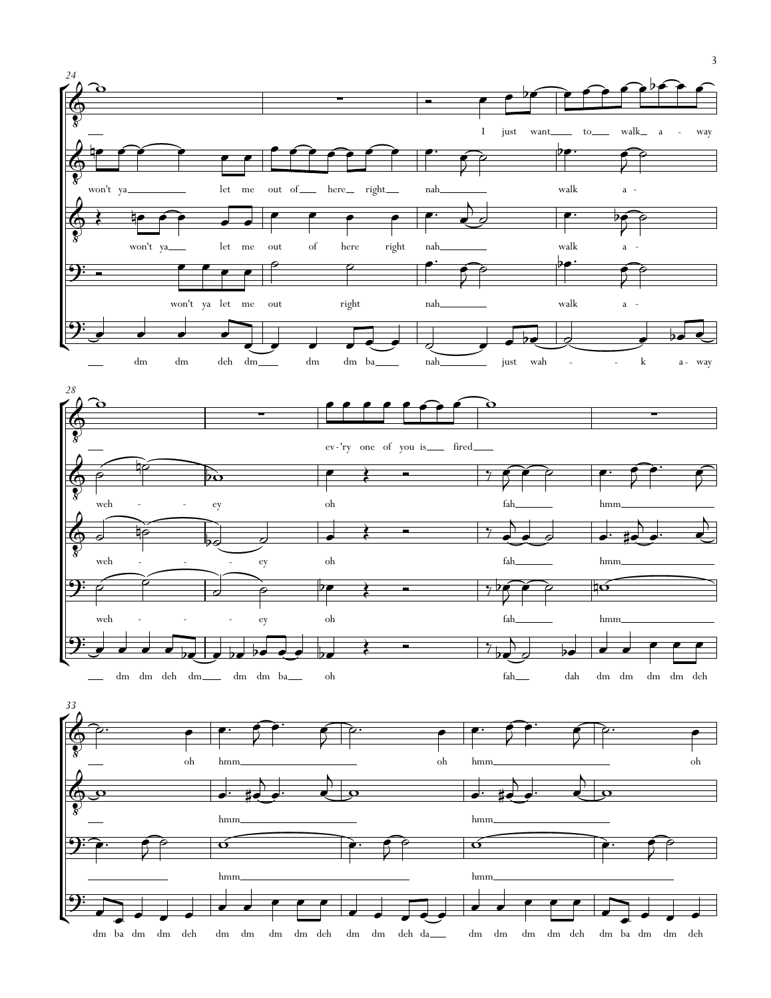![](_page_2_Figure_0.jpeg)

dm ba dm dm deh dm dm dm dm deh dm dm deh da dm dm dm dm deh dm ba dm dm deh œ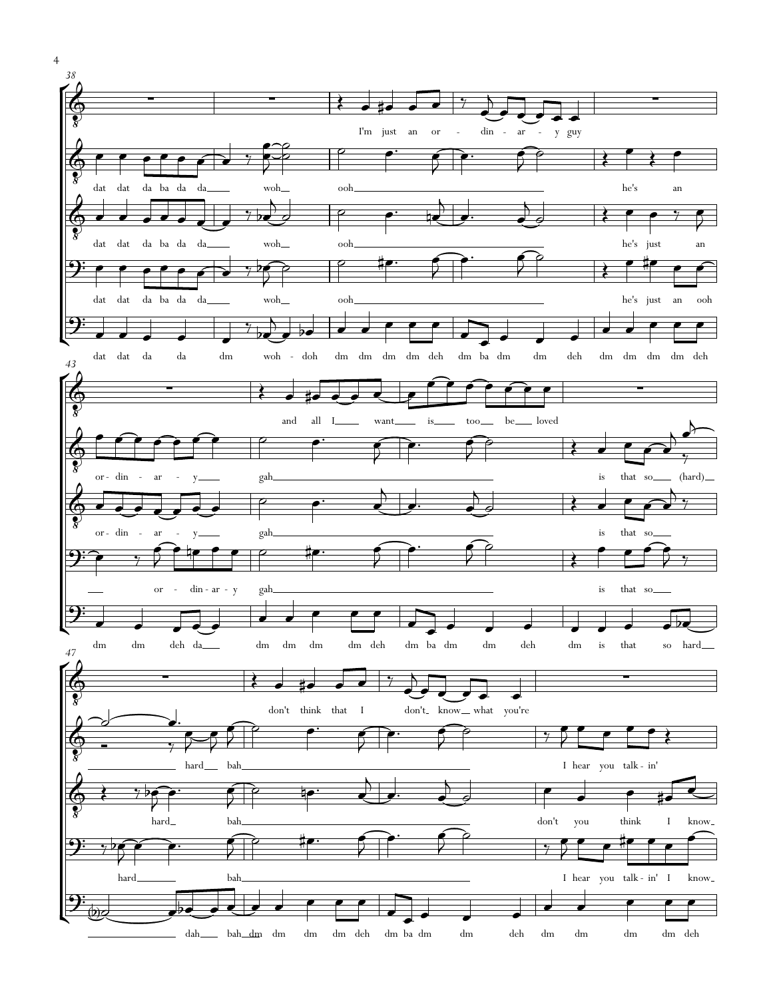![](_page_3_Figure_0.jpeg)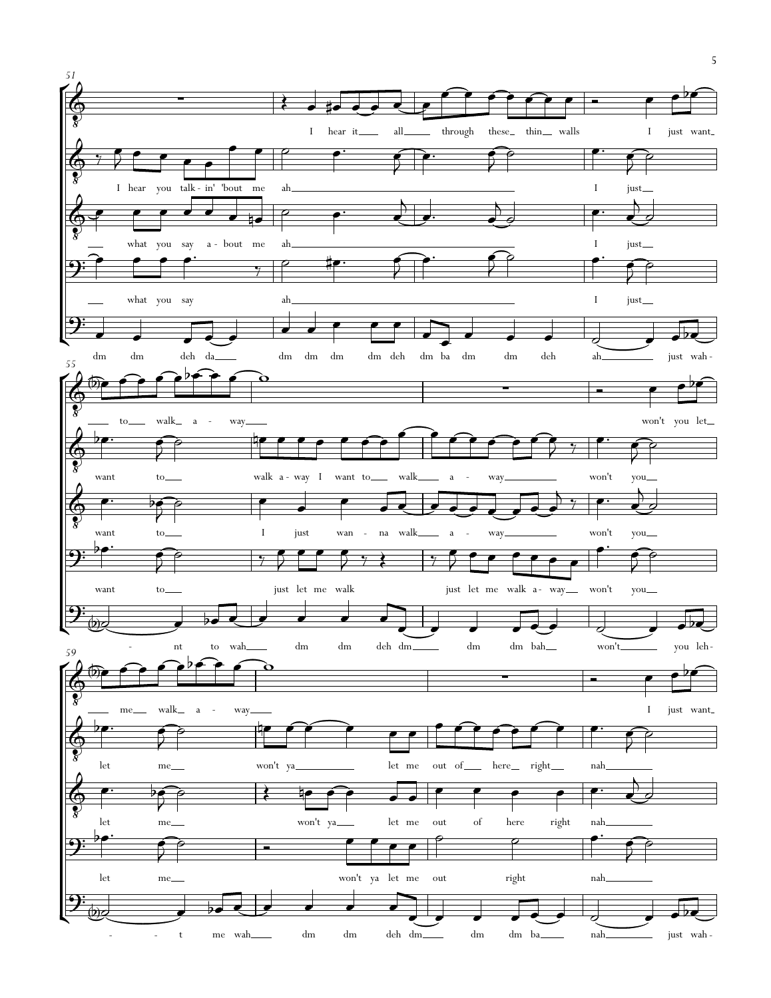![](_page_4_Figure_0.jpeg)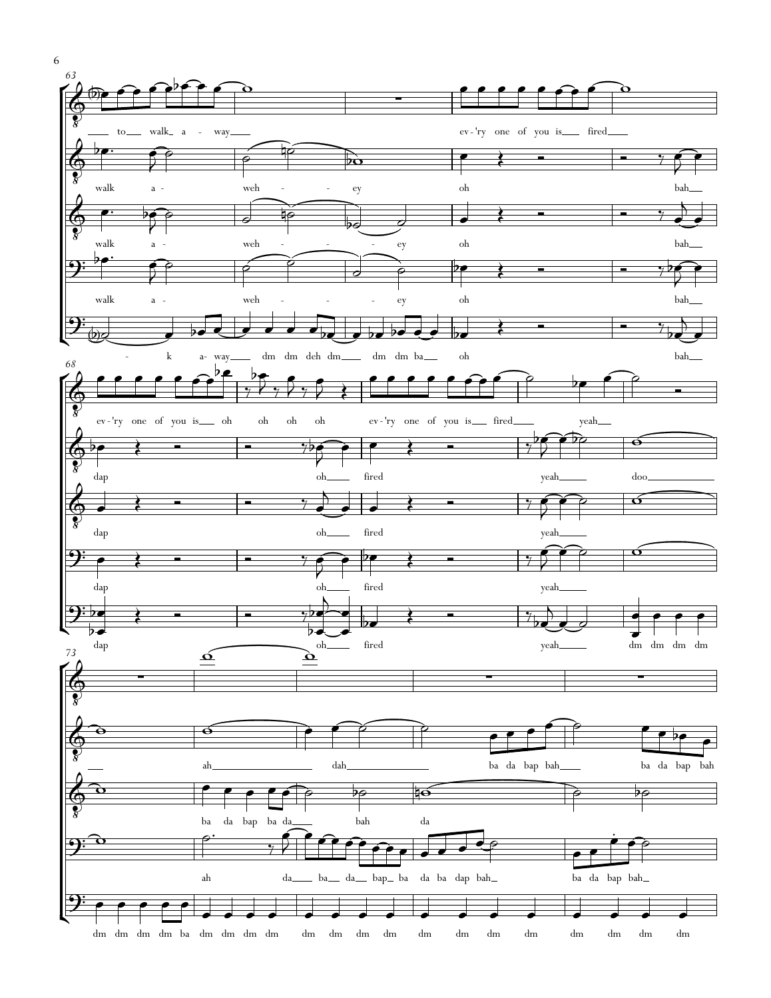![](_page_5_Figure_0.jpeg)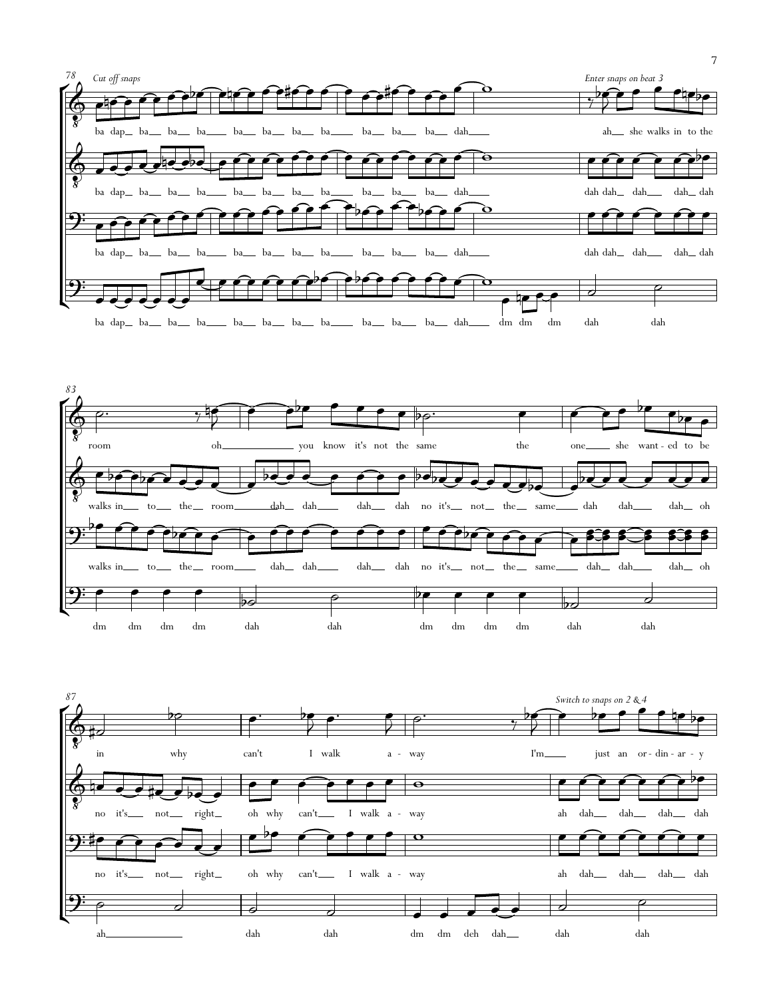![](_page_6_Figure_0.jpeg)

![](_page_6_Figure_1.jpeg)

![](_page_6_Figure_2.jpeg)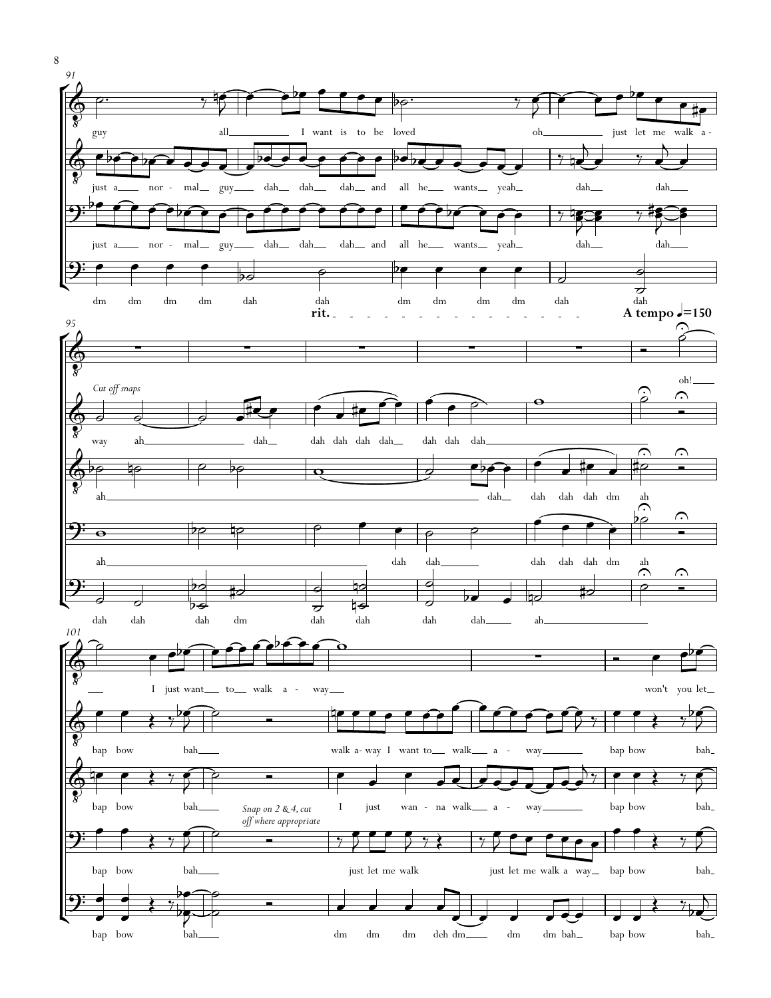![](_page_7_Figure_0.jpeg)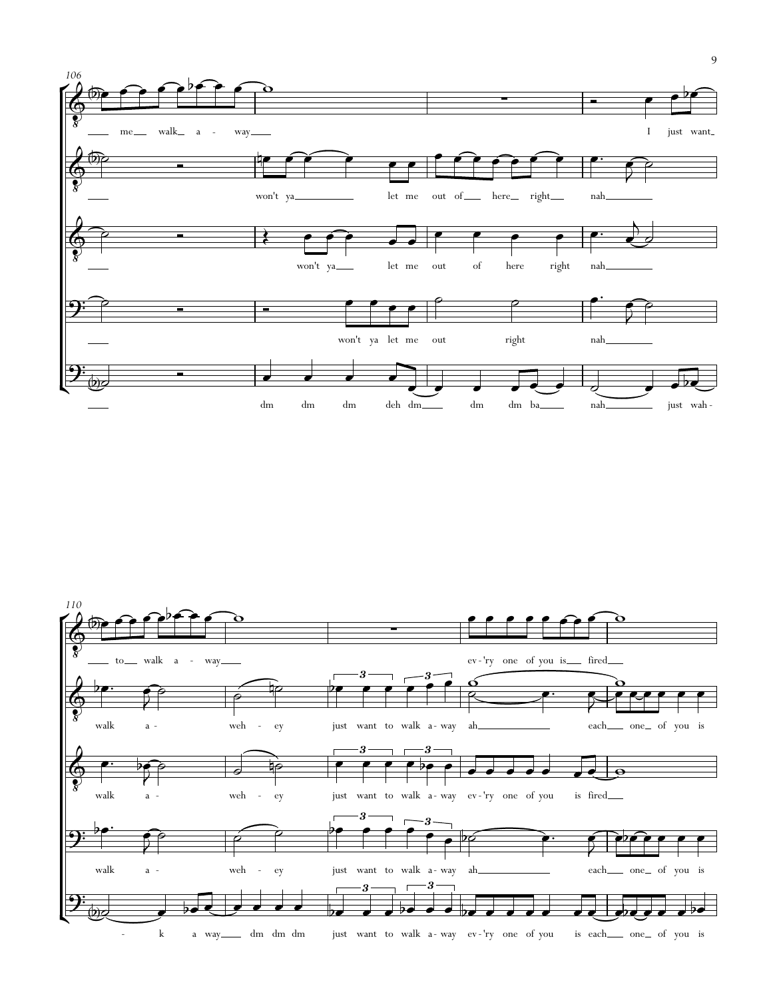![](_page_8_Figure_0.jpeg)

![](_page_8_Figure_1.jpeg)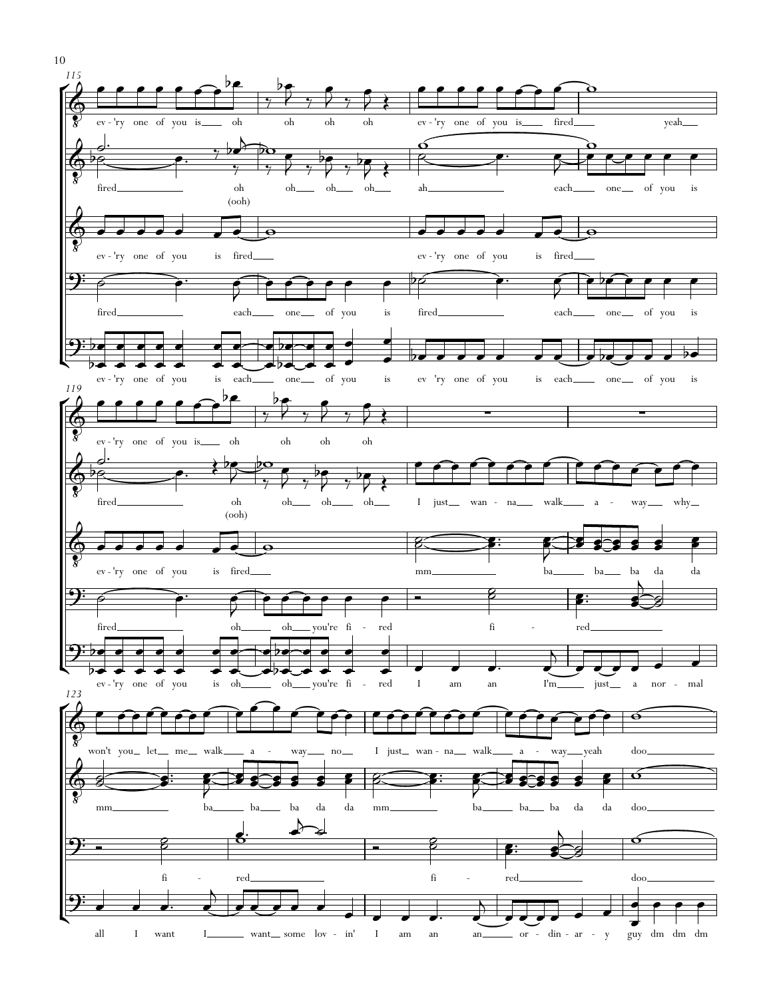![](_page_9_Figure_0.jpeg)